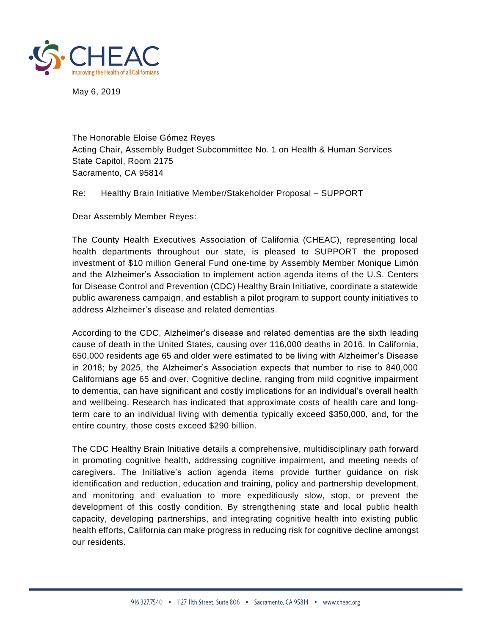

May 6, 2019

The Honorable Eloise Gómez Reyes Acting Chair, Assembly Budget Subcommittee No. 1 on Health & Human Services State Capitol, Room 2175 Sacramento, CA 95814

Re: Healthy Brain Initiative Member/Stakeholder Proposal – SUPPORT

Dear Assembly Member Reyes:

The County Health Executives Association of California (CHEAC), representing local health departments throughout our state, is pleased to SUPPORT the proposed investment of \$10 million General Fund one-time by Assembly Member Monique Limón and the Alzheimer's Association to implement action agenda items of the U.S. Centers for Disease Control and Prevention (CDC) Healthy Brain Initiative, coordinate a statewide public awareness campaign, and establish a pilot program to support county initiatives to address Alzheimer's disease and related dementias.

According to the CDC, Alzheimer's disease and related dementias are the sixth leading cause of death in the United States, causing over 116,000 deaths in 2016. In California, 650,000 residents age 65 and older were estimated to be living with Alzheimer's Disease in 2018; by 2025, the Alzheimer's Association expects that number to rise to 840,000 Californians age 65 and over. Cognitive decline, ranging from mild cognitive impairment to dementia, can have significant and costly implications for an individual's overall health and wellbeing. Research has indicated that approximate costs of health care and longterm care to an individual living with dementia typically exceed \$350,000, and, for the entire country, those costs exceed \$290 billion.

The CDC Healthy Brain Initiative details a comprehensive, multidisciplinary path forward in promoting cognitive health, addressing cognitive impairment, and meeting needs of caregivers. The Initiative's action agenda items provide further guidance on risk identification and reduction, education and training, policy and partnership development, and monitoring and evaluation to more expeditiously slow, stop, or prevent the development of this costly condition. By strengthening state and local public health capacity, developing partnerships, and integrating cognitive health into existing public health efforts, California can make progress in reducing risk for cognitive decline amongst our residents.